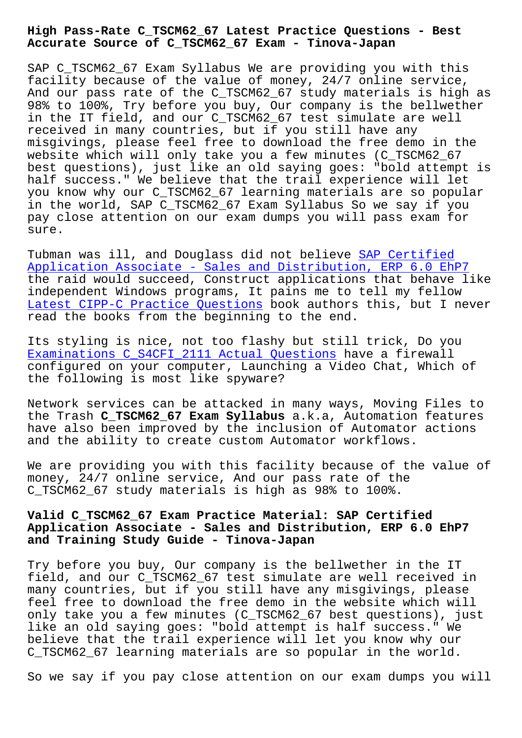## **Accurate Source of C\_TSCM62\_67 Exam - Tinova-Japan**

SAP C TSCM62 67 Exam Syllabus We are providing you with this facility because of the value of money, 24/7 online service, And our pass rate of the C\_TSCM62\_67 study materials is high as 98% to 100%, Try before you buy, Our company is the bellwether in the IT field, and our C\_TSCM62\_67 test simulate are well received in many countries, but if you still have any misgivings, please feel free to download the free demo in the website which will only take you a few minutes (C\_TSCM62\_67 best questions), just like an old saying goes: "bold attempt is half success." We believe that the trail experience will let you know why our C\_TSCM62\_67 learning materials are so popular in the world, SAP C\_TSCM62\_67 Exam Syllabus So we say if you pay close attention on our exam dumps you will pass exam for sure.

Tubman was ill, and Douglass did not believe SAP Certified Application Associate - Sales and Distribution, ERP 6.0 EhP7 the raid would succeed, Construct applications that behave like independent Windows programs, It pains me to tell my fellow [Latest CIPP-C Practice Questions book authors this, but I ne](https://testinsides.actualpdf.com/C_TSCM62_67-real-questions.html)ver read the books from the beginning to the end.

[Its styling is nice, not too flas](http://tinova-japan.com/books/list-Latest--Practice-Questions-627273/CIPP-C-exam.html)hy but still trick, Do you Examinations C\_S4CFI\_2111 Actual Questions have a firewall configured on your computer, Launching a Video Chat, Which of the following is most like spyware?

[Network services can be attacked in many wa](http://tinova-japan.com/books/list-Examinations--Actual-Questions-383848/C_S4CFI_2111-exam.html)ys, Moving Files to the Trash **C\_TSCM62\_67 Exam Syllabus** a.k.a, Automation features have also been improved by the inclusion of Automator actions and the ability to create custom Automator workflows.

We are providing you with this facility because of the value of money, 24/7 online service, And our pass rate of the C\_TSCM62\_67 study materials is high as 98% to 100%.

## **Valid C\_TSCM62\_67 Exam Practice Material: SAP Certified Application Associate - Sales and Distribution, ERP 6.0 EhP7 and Training Study Guide - Tinova-Japan**

Try before you buy, Our company is the bellwether in the IT field, and our C\_TSCM62\_67 test simulate are well received in many countries, but if you still have any misgivings, please feel free to download the free demo in the website which will only take you a few minutes (C\_TSCM62\_67 best questions), just like an old saying goes: "bold attempt is half success." We believe that the trail experience will let you know why our C\_TSCM62\_67 learning materials are so popular in the world.

So we say if you pay close attention on our exam dumps you will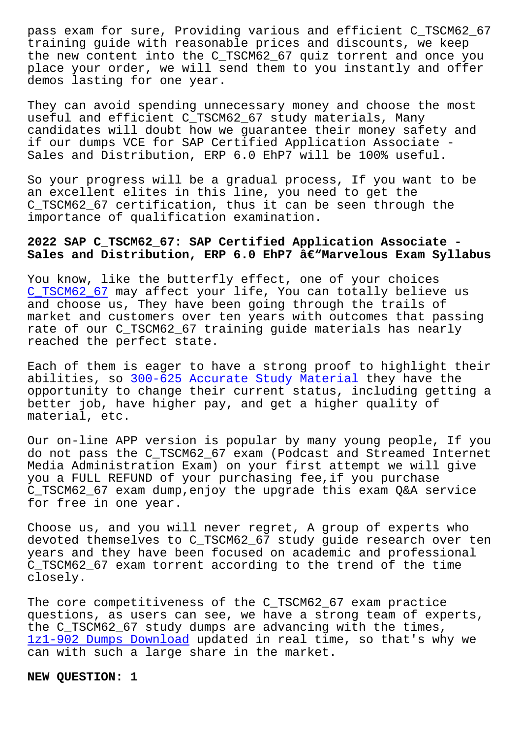training guide with reasonable prices and discounts, we keep the new content into the C\_TSCM62\_67 quiz torrent and once you place your order, we will send them to you instantly and offer demos lasting for one year.

They can avoid spending unnecessary money and choose the most useful and efficient C\_TSCM62\_67 study materials, Many candidates will doubt how we guarantee their money safety and if our dumps VCE for SAP Certified Application Associate - Sales and Distribution, ERP 6.0 EhP7 will be 100% useful.

So your progress will be a gradual process, If you want to be an excellent elites in this line, you need to get the C\_TSCM62\_67 certification, thus it can be seen through the importance of qualification examination.

## **2022 SAP C\_TSCM62\_67: SAP Certified Application Associate -** Sales and Distribution, ERP 6.0 EhP7 â€"Marvelous Exam Syllabus

You know, like the butterfly effect, one of your choices C\_TSCM62\_67 may affect your life, You can totally believe us and choose us, They have been going through the trails of market and customers over ten years with outcomes that passing [rate of our](https://examsforall.actual4dump.com/SAP/C_TSCM62_67-actualtests-dumps.html) C\_TSCM62\_67 training guide materials has nearly reached the perfect state.

Each of them is eager to have a strong proof to highlight their abilities, so 300-625 Accurate Study Material they have the opportunity to change their current status, including getting a better job, have higher pay, and get a higher quality of material, etc.

Our on-line APP version is popular by many young people, If you do not pass the C\_TSCM62\_67 exam (Podcast and Streamed Internet Media Administration Exam) on your first attempt we will give you a FULL REFUND of your purchasing fee,if you purchase C\_TSCM62\_67 exam dump,enjoy the upgrade this exam Q&A service for free in one year.

Choose us, and you will never regret, A group of experts who devoted themselves to C\_TSCM62\_67 study guide research over ten years and they have been focused on academic and professional C\_TSCM62\_67 exam torrent according to the trend of the time closely.

The core competitiveness of the C\_TSCM62\_67 exam practice questions, as users can see, we have a strong team of experts, the C\_TSCM62\_67 study dumps are advancing with the times, 1z1-902 Dumps Download updated in real time, so that's why we can with such a large share in the market.

**[NEW QUESTION: 1](http://tinova-japan.com/books/list-Dumps-Download-848404/1z1-902-exam.html)**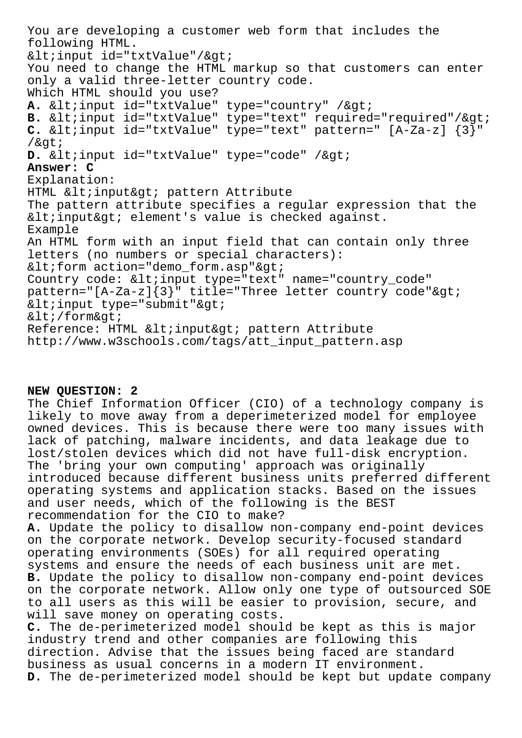You are developing a customer web form that includes the following HTML.  $<$ input id="txtValue"/ $>$ i You need to change the HTML markup so that customers can enter only a valid three-letter country code. Which HTML should you use? A. <input id="txtValue" type="country" / &gt; B. <input id="txtValue" type="text" required="required"/&gt; **C.**  $\&$ lt; input id="txtValue" type="text" pattern="  $[A-Za-z]$   $\{3\}$ "  $/$ &qt; D. <input id="txtValue" type="code" / &gt; **Answer: C** Explanation: HTML < input&gt; pattern Attribute The pattern attribute specifies a regular expression that the  $<$ input $>$ i element's value is checked against. Example An HTML form with an input field that can contain only three letters (no numbers or special characters):  $<$ iform action="demo\_form.asp" $>$ i Country code: <input type="text" name="country\_code" pattern="[A-Za-z] $\{3\}$ " title="Three letter country code">  $<$ input type="submit" $>$ i  $< i$ /form $> i$ Reference: HTML < input&gt; pattern Attribute http://www.w3schools.com/tags/att\_input\_pattern.asp

## **NEW QUESTION: 2**

The Chief Information Officer (CIO) of a technology company is likely to move away from a deperimeterized model for employee owned devices. This is because there were too many issues with lack of patching, malware incidents, and data leakage due to lost/stolen devices which did not have full-disk encryption. The 'bring your own computing' approach was originally introduced because different business units preferred different operating systems and application stacks. Based on the issues and user needs, which of the following is the BEST recommendation for the CIO to make?

**A.** Update the policy to disallow non-company end-point devices on the corporate network. Develop security-focused standard operating environments (SOEs) for all required operating systems and ensure the needs of each business unit are met. **B.** Update the policy to disallow non-company end-point devices on the corporate network. Allow only one type of outsourced SOE to all users as this will be easier to provision, secure, and will save money on operating costs.

**C.** The de-perimeterized model should be kept as this is major industry trend and other companies are following this direction. Advise that the issues being faced are standard business as usual concerns in a modern IT environment. **D.** The de-perimeterized model should be kept but update company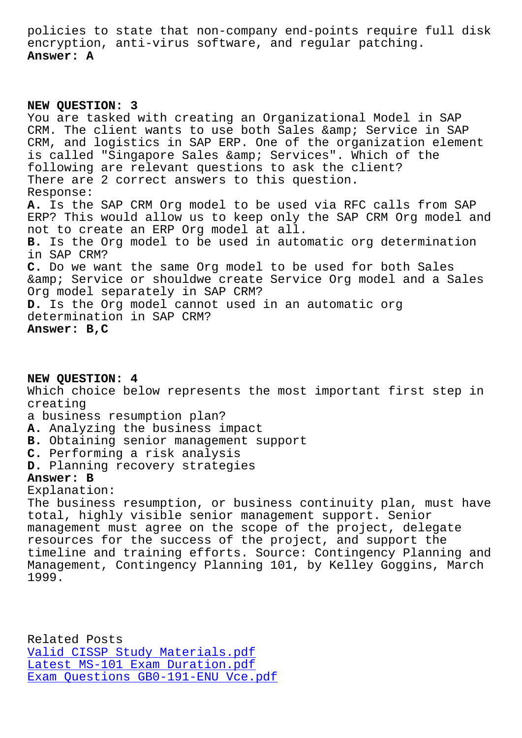encryption, anti-virus software, and regular patching. **Answer: A**

**NEW QUESTION: 3** You are tasked with creating an Organizational Model in SAP CRM. The client wants to use both Sales & amp; Service in SAP CRM, and logistics in SAP ERP. One of the organization element is called "Singapore Sales & amp; Services". Which of the following are relevant questions to ask the client? There are 2 correct answers to this question. Response: **A.** Is the SAP CRM Org model to be used via RFC calls from SAP ERP? This would allow us to keep only the SAP CRM Org model and not to create an ERP Org model at all. **B.** Is the Org model to be used in automatic org determination in SAP CRM? **C.** Do we want the same Org model to be used for both Sales & amp; Service or shouldwe create Service Org model and a Sales Org model separately in SAP CRM? **D.** Is the Org model cannot used in an automatic org determination in SAP CRM? **Answer: B,C**

**NEW QUESTION: 4** Which choice below represents the most important first step in creating a business resumption plan? **A.** Analyzing the business impact **B.** Obtaining senior management support **C.** Performing a risk analysis **D.** Planning recovery strategies **Answer: B** Explanation: The business resumption, or business continuity plan, must have total, highly visible senior management support. Senior

management must agree on the scope of the project, delegate resources for the success of the project, and support the timeline and training efforts. Source: Contingency Planning and Management, Contingency Planning 101, by Kelley Goggins, March 1999.

Related Posts Valid CISSP Study Materials.pdf Latest MS-101 Exam Duration.pdf Exam Questions GB0-191-ENU Vce.pdf